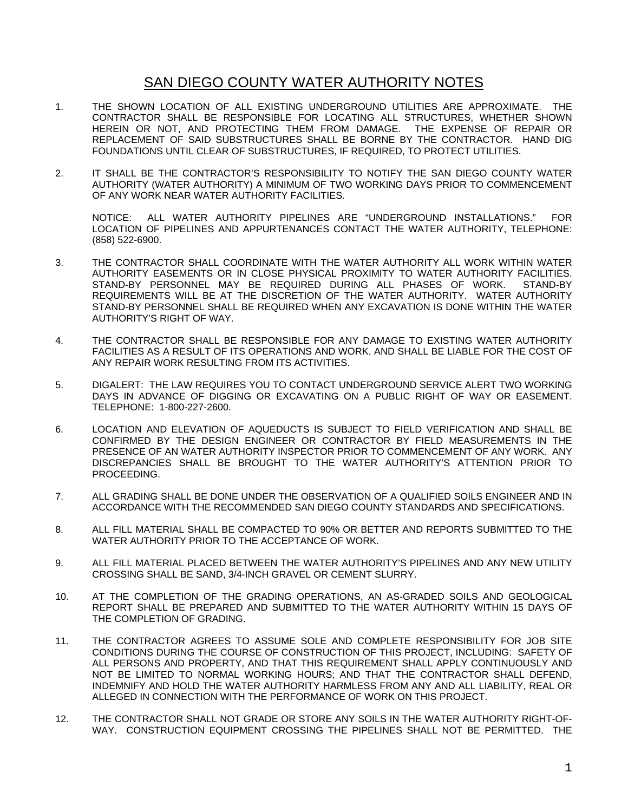## SAN DIEGO COUNTY WATER AUTHORITY NOTES

- 1. THE SHOWN LOCATION OF ALL EXISTING UNDERGROUND UTILITIES ARE APPROXIMATE. THE CONTRACTOR SHALL BE RESPONSIBLE FOR LOCATING ALL STRUCTURES, WHETHER SHOWN HEREIN OR NOT, AND PROTECTING THEM FROM DAMAGE. THE EXPENSE OF REPAIR OR REPLACEMENT OF SAID SUBSTRUCTURES SHALL BE BORNE BY THE CONTRACTOR. HAND DIG FOUNDATIONS UNTIL CLEAR OF SUBSTRUCTURES, IF REQUIRED, TO PROTECT UTILITIES.
- 2. IT SHALL BE THE CONTRACTOR'S RESPONSIBILITY TO NOTIFY THE SAN DIEGO COUNTY WATER AUTHORITY (WATER AUTHORITY) A MINIMUM OF TWO WORKING DAYS PRIOR TO COMMENCEMENT OF ANY WORK NEAR WATER AUTHORITY FACILITIES.

NOTICE: ALL WATER AUTHORITY PIPELINES ARE "UNDERGROUND INSTALLATIONS." FOR LOCATION OF PIPELINES AND APPURTENANCES CONTACT THE WATER AUTHORITY, TELEPHONE: (858) 522-6900.

- 3. THE CONTRACTOR SHALL COORDINATE WITH THE WATER AUTHORITY ALL WORK WITHIN WATER AUTHORITY EASEMENTS OR IN CLOSE PHYSICAL PROXIMITY TO WATER AUTHORITY FACILITIES. STAND-BY PERSONNEL MAY BE REQUIRED DURING ALL PHASES OF WORK. STAND-BY REQUIREMENTS WILL BE AT THE DISCRETION OF THE WATER AUTHORITY. WATER AUTHORITY STAND-BY PERSONNEL SHALL BE REQUIRED WHEN ANY EXCAVATION IS DONE WITHIN THE WATER AUTHORITY'S RIGHT OF WAY.
- 4. THE CONTRACTOR SHALL BE RESPONSIBLE FOR ANY DAMAGE TO EXISTING WATER AUTHORITY FACILITIES AS A RESULT OF ITS OPERATIONS AND WORK, AND SHALL BE LIABLE FOR THE COST OF ANY REPAIR WORK RESULTING FROM ITS ACTIVITIES.
- 5. DIGALERT: THE LAW REQUIRES YOU TO CONTACT UNDERGROUND SERVICE ALERT TWO WORKING DAYS IN ADVANCE OF DIGGING OR EXCAVATING ON A PUBLIC RIGHT OF WAY OR EASEMENT. TELEPHONE: 1-800-227-2600.
- 6. LOCATION AND ELEVATION OF AQUEDUCTS IS SUBJECT TO FIELD VERIFICATION AND SHALL BE CONFIRMED BY THE DESIGN ENGINEER OR CONTRACTOR BY FIELD MEASUREMENTS IN THE PRESENCE OF AN WATER AUTHORITY INSPECTOR PRIOR TO COMMENCEMENT OF ANY WORK. ANY DISCREPANCIES SHALL BE BROUGHT TO THE WATER AUTHORITY'S ATTENTION PRIOR TO PROCEEDING.
- 7. ALL GRADING SHALL BE DONE UNDER THE OBSERVATION OF A QUALIFIED SOILS ENGINEER AND IN ACCORDANCE WITH THE RECOMMENDED SAN DIEGO COUNTY STANDARDS AND SPECIFICATIONS.
- 8. ALL FILL MATERIAL SHALL BE COMPACTED TO 90% OR BETTER AND REPORTS SUBMITTED TO THE WATER AUTHORITY PRIOR TO THE ACCEPTANCE OF WORK.
- 9. ALL FILL MATERIAL PLACED BETWEEN THE WATER AUTHORITY'S PIPELINES AND ANY NEW UTILITY CROSSING SHALL BE SAND, 3/4-INCH GRAVEL OR CEMENT SLURRY.
- 10. AT THE COMPLETION OF THE GRADING OPERATIONS, AN AS-GRADED SOILS AND GEOLOGICAL REPORT SHALL BE PREPARED AND SUBMITTED TO THE WATER AUTHORITY WITHIN 15 DAYS OF THE COMPLETION OF GRADING.
- 11. THE CONTRACTOR AGREES TO ASSUME SOLE AND COMPLETE RESPONSIBILITY FOR JOB SITE CONDITIONS DURING THE COURSE OF CONSTRUCTION OF THIS PROJECT, INCLUDING: SAFETY OF ALL PERSONS AND PROPERTY, AND THAT THIS REQUIREMENT SHALL APPLY CONTINUOUSLY AND NOT BE LIMITED TO NORMAL WORKING HOURS; AND THAT THE CONTRACTOR SHALL DEFEND, INDEMNIFY AND HOLD THE WATER AUTHORITY HARMLESS FROM ANY AND ALL LIABILITY, REAL OR ALLEGED IN CONNECTION WITH THE PERFORMANCE OF WORK ON THIS PROJECT.
- 12. THE CONTRACTOR SHALL NOT GRADE OR STORE ANY SOILS IN THE WATER AUTHORITY RIGHT-OF-WAY. CONSTRUCTION EQUIPMENT CROSSING THE PIPELINES SHALL NOT BE PERMITTED. THE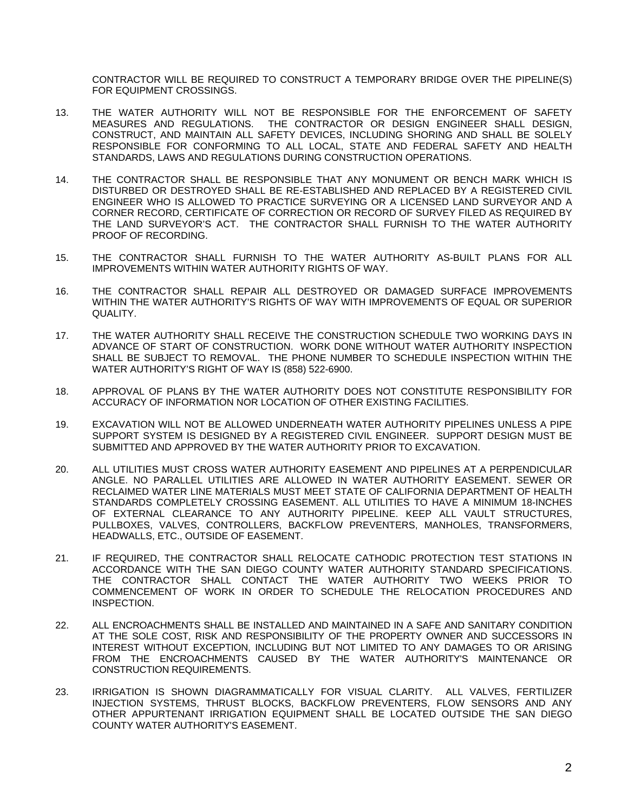CONTRACTOR WILL BE REQUIRED TO CONSTRUCT A TEMPORARY BRIDGE OVER THE PIPELINE(S) FOR EQUIPMENT CROSSINGS.

- 13. THE WATER AUTHORITY WILL NOT BE RESPONSIBLE FOR THE ENFORCEMENT OF SAFETY MEASURES AND REGULATIONS. THE CONTRACTOR OR DESIGN ENGINEER SHALL DESIGN, CONSTRUCT, AND MAINTAIN ALL SAFETY DEVICES, INCLUDING SHORING AND SHALL BE SOLELY RESPONSIBLE FOR CONFORMING TO ALL LOCAL, STATE AND FEDERAL SAFETY AND HEALTH STANDARDS, LAWS AND REGULATIONS DURING CONSTRUCTION OPERATIONS.
- 14. THE CONTRACTOR SHALL BE RESPONSIBLE THAT ANY MONUMENT OR BENCH MARK WHICH IS DISTURBED OR DESTROYED SHALL BE RE-ESTABLISHED AND REPLACED BY A REGISTERED CIVIL ENGINEER WHO IS ALLOWED TO PRACTICE SURVEYING OR A LICENSED LAND SURVEYOR AND A CORNER RECORD, CERTIFICATE OF CORRECTION OR RECORD OF SURVEY FILED AS REQUIRED BY THE LAND SURVEYOR'S ACT. THE CONTRACTOR SHALL FURNISH TO THE WATER AUTHORITY PROOF OF RECORDING.
- 15. THE CONTRACTOR SHALL FURNISH TO THE WATER AUTHORITY AS-BUILT PLANS FOR ALL IMPROVEMENTS WITHIN WATER AUTHORITY RIGHTS OF WAY.
- 16. THE CONTRACTOR SHALL REPAIR ALL DESTROYED OR DAMAGED SURFACE IMPROVEMENTS WITHIN THE WATER AUTHORITY'S RIGHTS OF WAY WITH IMPROVEMENTS OF EQUAL OR SUPERIOR QUALITY.
- 17. THE WATER AUTHORITY SHALL RECEIVE THE CONSTRUCTION SCHEDULE TWO WORKING DAYS IN ADVANCE OF START OF CONSTRUCTION. WORK DONE WITHOUT WATER AUTHORITY INSPECTION SHALL BE SUBJECT TO REMOVAL. THE PHONE NUMBER TO SCHEDULE INSPECTION WITHIN THE WATER AUTHORITY'S RIGHT OF WAY IS (858) 522-6900.
- 18. APPROVAL OF PLANS BY THE WATER AUTHORITY DOES NOT CONSTITUTE RESPONSIBILITY FOR ACCURACY OF INFORMATION NOR LOCATION OF OTHER EXISTING FACILITIES.
- 19. EXCAVATION WILL NOT BE ALLOWED UNDERNEATH WATER AUTHORITY PIPELINES UNLESS A PIPE SUPPORT SYSTEM IS DESIGNED BY A REGISTERED CIVIL ENGINEER. SUPPORT DESIGN MUST BE SUBMITTED AND APPROVED BY THE WATER AUTHORITY PRIOR TO EXCAVATION.
- 20. ALL UTILITIES MUST CROSS WATER AUTHORITY EASEMENT AND PIPELINES AT A PERPENDICULAR ANGLE. NO PARALLEL UTILITIES ARE ALLOWED IN WATER AUTHORITY EASEMENT. SEWER OR RECLAIMED WATER LINE MATERIALS MUST MEET STATE OF CALIFORNIA DEPARTMENT OF HEALTH STANDARDS COMPLETELY CROSSING EASEMENT. ALL UTILITIES TO HAVE A MINIMUM 18-INCHES OF EXTERNAL CLEARANCE TO ANY AUTHORITY PIPELINE. KEEP ALL VAULT STRUCTURES, PULLBOXES, VALVES, CONTROLLERS, BACKFLOW PREVENTERS, MANHOLES, TRANSFORMERS, HEADWALLS, ETC., OUTSIDE OF EASEMENT.
- 21. IF REQUIRED, THE CONTRACTOR SHALL RELOCATE CATHODIC PROTECTION TEST STATIONS IN ACCORDANCE WITH THE SAN DIEGO COUNTY WATER AUTHORITY STANDARD SPECIFICATIONS. THE CONTRACTOR SHALL CONTACT THE WATER AUTHORITY TWO WEEKS PRIOR TO COMMENCEMENT OF WORK IN ORDER TO SCHEDULE THE RELOCATION PROCEDURES AND INSPECTION.
- 22. ALL ENCROACHMENTS SHALL BE INSTALLED AND MAINTAINED IN A SAFE AND SANITARY CONDITION AT THE SOLE COST, RISK AND RESPONSIBILITY OF THE PROPERTY OWNER AND SUCCESSORS IN INTEREST WITHOUT EXCEPTION, INCLUDING BUT NOT LIMITED TO ANY DAMAGES TO OR ARISING FROM THE ENCROACHMENTS CAUSED BY THE WATER AUTHORITY'S MAINTENANCE OR CONSTRUCTION REQUIREMENTS.
- 23. IRRIGATION IS SHOWN DIAGRAMMATICALLY FOR VISUAL CLARITY. ALL VALVES, FERTILIZER INJECTION SYSTEMS, THRUST BLOCKS, BACKFLOW PREVENTERS, FLOW SENSORS AND ANY OTHER APPURTENANT IRRIGATION EQUIPMENT SHALL BE LOCATED OUTSIDE THE SAN DIEGO COUNTY WATER AUTHORITY'S EASEMENT.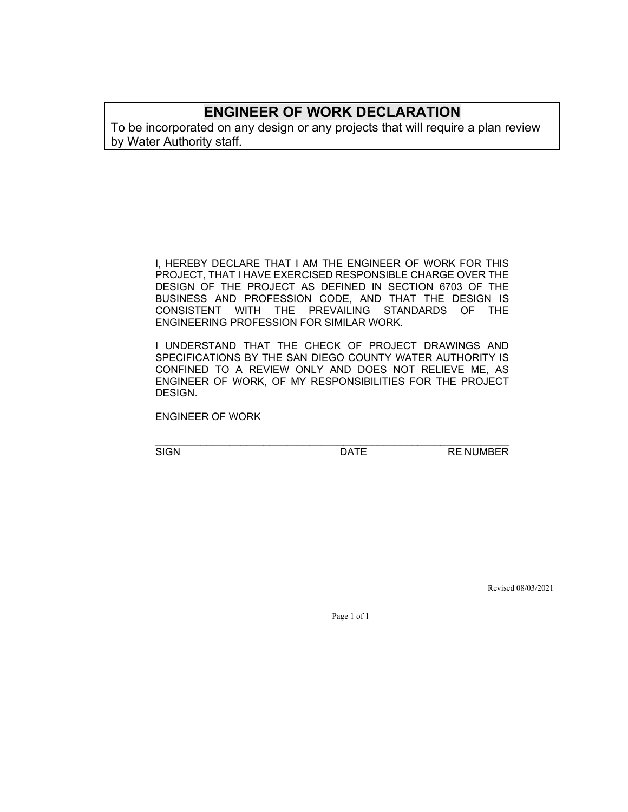## **ENGINEER OF WORK DECLARATION**

To be incorporated on any design or any projects that will require a plan review by Water Authority staff.

> I, HEREBY DECLARE THAT I AM THE ENGINEER OF WORK FOR THIS PROJECT, THAT I HAVE EXERCISED RESPONSIBLE CHARGE OVER THE DESIGN OF THE PROJECT AS DEFINED IN SECTION 6703 OF THE BUSINESS AND PROFESSION CODE, AND THAT THE DESIGN IS CONSISTENT WITH THE PREVAILING STANDARDS OF THE ENGINEERING PROFESSION FOR SIMILAR WORK.

> I UNDERSTAND THAT THE CHECK OF PROJECT DRAWINGS AND SPECIFICATIONS BY THE SAN DIEGO COUNTY WATER AUTHORITY IS CONFINED TO A REVIEW ONLY AND DOES NOT RELIEVE ME, AS ENGINEER OF WORK, OF MY RESPONSIBILITIES FOR THE PROJECT DESIGN.

ENGINEER OF WORK

\_\_\_\_\_\_\_\_\_\_\_\_\_\_\_\_\_\_\_\_\_\_\_\_\_\_\_\_\_\_\_\_\_\_\_\_\_\_\_\_\_\_\_\_\_\_\_\_\_\_\_\_\_\_\_\_\_\_\_\_\_\_

SIGN DATE RE NUMBER

Revised 08/03/2021

Page 1 of 1